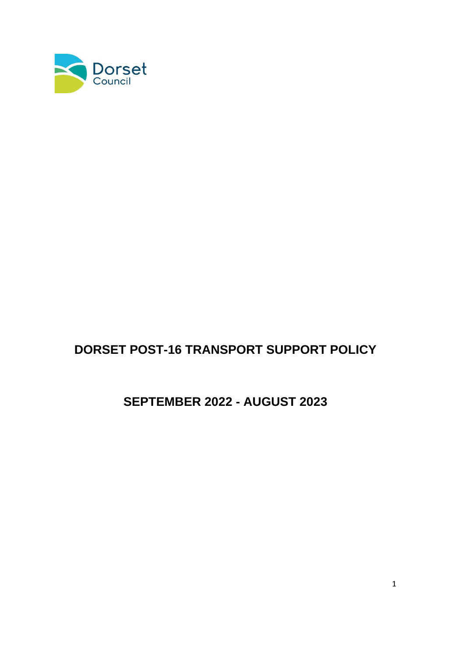

# **DORSET POST-16 TRANSPORT SUPPORT POLICY**

# **SEPTEMBER 2022 - AUGUST 2023**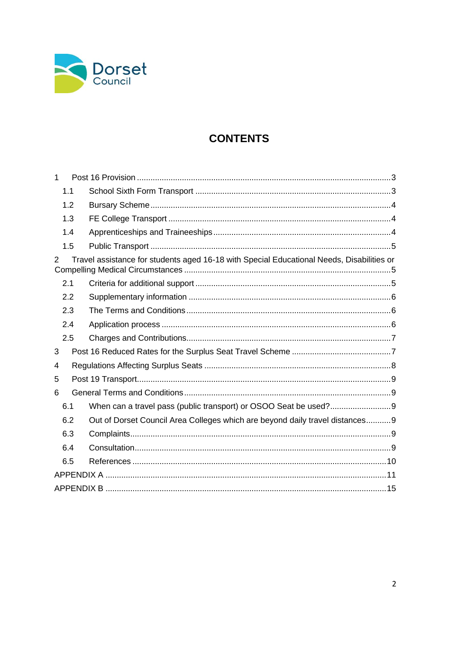

## **CONTENTS**

| $\mathbf 1$ |                                                                                           |  |
|-------------|-------------------------------------------------------------------------------------------|--|
| 1.1         |                                                                                           |  |
| 1.2         |                                                                                           |  |
| 1.3         |                                                                                           |  |
| 1.4         |                                                                                           |  |
| 1.5         |                                                                                           |  |
| 2           | Travel assistance for students aged 16-18 with Special Educational Needs, Disabilities or |  |
| 2.1         |                                                                                           |  |
| 2.2         |                                                                                           |  |
| 2.3         |                                                                                           |  |
| 2.4         |                                                                                           |  |
| 2.5         |                                                                                           |  |
| 3           |                                                                                           |  |
| 4           |                                                                                           |  |
| 5           |                                                                                           |  |
| 6           |                                                                                           |  |
| 6.1         |                                                                                           |  |
| 6.2         | Out of Dorset Council Area Colleges which are beyond daily travel distances9              |  |
| 6.3         |                                                                                           |  |
| 6.4         |                                                                                           |  |
| 6.5         |                                                                                           |  |
|             |                                                                                           |  |
|             |                                                                                           |  |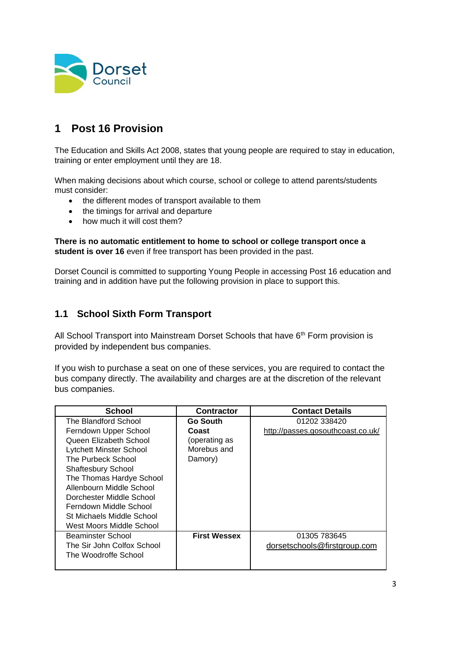

## <span id="page-2-0"></span>**1 Post 16 Provision**

The Education and Skills Act 2008, states that young people are required to stay in education, training or enter employment until they are 18.

When making decisions about which course, school or college to attend parents/students must consider:

- the different modes of transport available to them
- the timings for arrival and departure
- how much it will cost them?

**There is no automatic entitlement to home to school or college transport once a student is over 16** even if free transport has been provided in the past.

Dorset Council is committed to supporting Young People in accessing Post 16 education and training and in addition have put the following provision in place to support this.

#### <span id="page-2-1"></span>**1.1 School Sixth Form Transport**

All School Transport into Mainstream Dorset Schools that have 6<sup>th</sup> Form provision is provided by independent bus companies.

If you wish to purchase a seat on one of these services, you are required to contact the bus company directly. The availability and charges are at the discretion of the relevant bus companies.

| School                     | <b>Contractor</b>   | <b>Contact Details</b>            |
|----------------------------|---------------------|-----------------------------------|
| The Blandford School       | <b>Go South</b>     | 01202 338420                      |
| Ferndown Upper School      | Coast               | http://passes.gosouthcoast.co.uk/ |
| Queen Elizabeth School     | (operating as       |                                   |
| Lytchett Minster School    | Morebus and         |                                   |
| The Purbeck School         | Damory)             |                                   |
| <b>Shaftesbury School</b>  |                     |                                   |
| The Thomas Hardye School   |                     |                                   |
| Allenbourn Middle School   |                     |                                   |
| Dorchester Middle School   |                     |                                   |
| Ferndown Middle School     |                     |                                   |
| St Michaels Middle School  |                     |                                   |
| West Moors Middle School   |                     |                                   |
| Beaminster School          | <b>First Wessex</b> | 01305 783645                      |
| The Sir John Colfox School |                     | dorsetschools@firstgroup.com      |
| The Woodroffe School       |                     |                                   |
|                            |                     |                                   |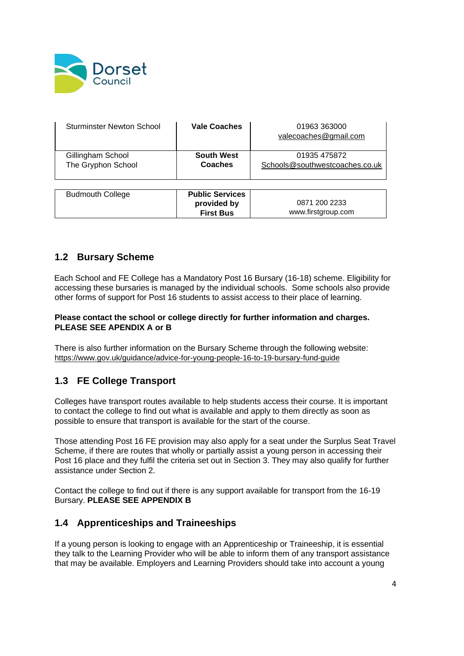

| Sturminster Newton School               | <b>Vale Coaches</b>                                       | 01963 363000<br>valecoaches@gmail.com          |
|-----------------------------------------|-----------------------------------------------------------|------------------------------------------------|
| Gillingham School<br>The Gryphon School | <b>South West</b><br>Coaches                              | 01935 475872<br>Schools@southwestcoaches.co.uk |
| <b>Budmouth College</b>                 | <b>Public Services</b><br>provided by<br><b>First Bus</b> | 0871 200 2233<br>www.firstgroup.com            |

#### <span id="page-3-0"></span>**1.2 Bursary Scheme**

Each School and FE College has a Mandatory Post 16 Bursary (16-18) scheme. Eligibility for accessing these bursaries is managed by the individual schools. Some schools also provide other forms of support for Post 16 students to assist access to their place of learning.

#### **Please contact the school or college directly for further information and charges. PLEASE SEE APENDIX A or B**

There is also further information on the Bursary Scheme through the following website: <https://www.gov.uk/guidance/advice-for-young-people-16-to-19-bursary-fund-guide>

### <span id="page-3-1"></span>**1.3 FE College Transport**

Colleges have transport routes available to help students access their course. It is important to contact the college to find out what is available and apply to them directly as soon as possible to ensure that transport is available for the start of the course.

Those attending Post 16 FE provision may also apply for a seat under the Surplus Seat Travel Scheme, if there are routes that wholly or partially assist a young person in accessing their Post 16 place and they fulfil the criteria set out in Section 3. They may also qualify for further assistance under Section 2.

Contact the college to find out if there is any support available for transport from the 16-19 Bursary. **PLEASE SEE APPENDIX B**

#### <span id="page-3-2"></span>**1.4 Apprenticeships and Traineeships**

If a young person is looking to engage with an Apprenticeship or Traineeship, it is essential they talk to the Learning Provider who will be able to inform them of any transport assistance that may be available. Employers and Learning Providers should take into account a young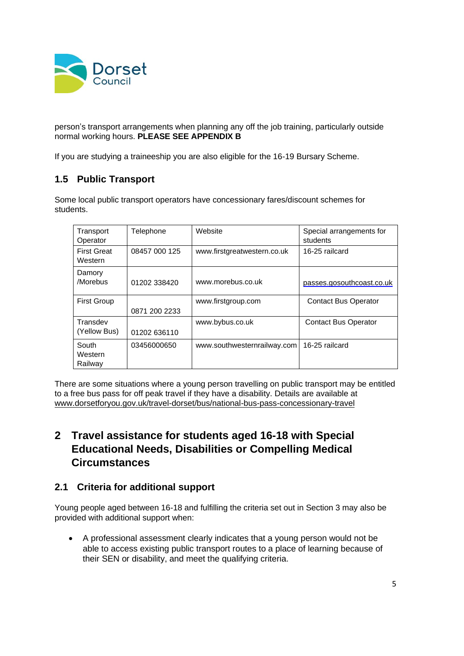

person's transport arrangements when planning any off the job training, particularly outside normal working hours. **PLEASE SEE APPENDIX B**

If you are studying a traineeship you are also eligible for the 16-19 Bursary Scheme.

## <span id="page-4-0"></span>**1.5 Public Transport**

Some local public transport operators have concessionary fares/discount schemes for students.

| Transport<br>Operator         | Telephone     | Website                     | Special arrangements for<br>students |
|-------------------------------|---------------|-----------------------------|--------------------------------------|
| <b>First Great</b><br>Western | 08457 000 125 | www.firstgreatwestern.co.uk | 16-25 railcard                       |
| Damory<br>/Morebus            | 01202 338420  | www.morebus.co.uk           | passes.gosouthcoast.co.uk            |
| <b>First Group</b>            | 0871 200 2233 | www.firstgroup.com          | <b>Contact Bus Operator</b>          |
| Transdev<br>(Yellow Bus)      | 01202 636110  | www.bybus.co.uk             | <b>Contact Bus Operator</b>          |
| South<br>Western<br>Railway   | 03456000650   | www.southwesternrailway.com | 16-25 railcard                       |

There are some situations where a young person travelling on public transport may be entitled to a free bus pass for off peak travel if they have a disability. Details are available at [www.dorsetforyou.gov.uk/travel-dorset/bus/national-bus-pass-concessionary-travel](http://www.dorsetforyou.gov.uk/travel-dorset/bus/national-bus-pass-concessionary-travel)

## <span id="page-4-1"></span>**2 Travel assistance for students aged 16-18 with Special Educational Needs, Disabilities or Compelling Medical Circumstances**

### <span id="page-4-2"></span>**2.1 Criteria for additional support**

Young people aged between 16-18 and fulfilling the criteria set out in Section 3 may also be provided with additional support when:

• A professional assessment clearly indicates that a young person would not be able to access existing public transport routes to a place of learning because of their SEN or disability, and meet the qualifying criteria.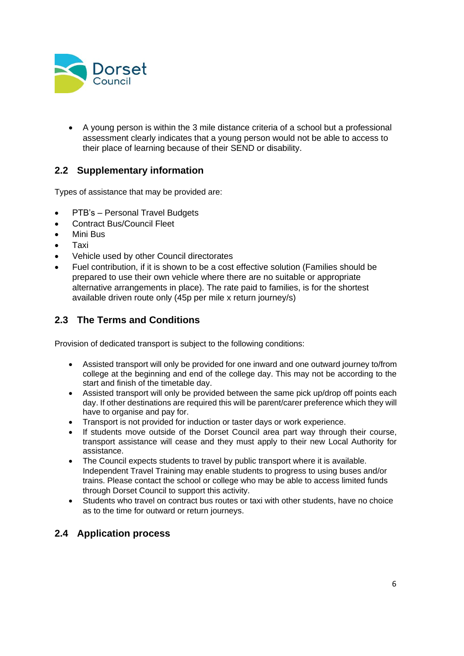

• A young person is within the 3 mile distance criteria of a school but a professional assessment clearly indicates that a young person would not be able to access to their place of learning because of their SEND or disability.

## <span id="page-5-0"></span>**2.2 Supplementary information**

Types of assistance that may be provided are:

- PTB's Personal Travel Budgets
- Contract Bus/Council Fleet
- Mini Bus
- Taxi
- Vehicle used by other Council directorates
- Fuel contribution, if it is shown to be a cost effective solution (Families should be prepared to use their own vehicle where there are no suitable or appropriate alternative arrangements in place). The rate paid to families, is for the shortest available driven route only (45p per mile x return journey/s)

### <span id="page-5-1"></span>**2.3 The Terms and Conditions**

Provision of dedicated transport is subject to the following conditions:

- Assisted transport will only be provided for one inward and one outward journey to/from college at the beginning and end of the college day. This may not be according to the start and finish of the timetable day.
- Assisted transport will only be provided between the same pick up/drop off points each day. If other destinations are required this will be parent/carer preference which they will have to organise and pay for.
- Transport is not provided for induction or taster days or work experience.
- If students move outside of the Dorset Council area part way through their course, transport assistance will cease and they must apply to their new Local Authority for assistance.
- The Council expects students to travel by public transport where it is available. Independent Travel Training may enable students to progress to using buses and/or trains. Please contact the school or college who may be able to access limited funds through Dorset Council to support this activity.
- Students who travel on contract bus routes or taxi with other students, have no choice as to the time for outward or return journeys.

#### <span id="page-5-2"></span>**2.4 Application process**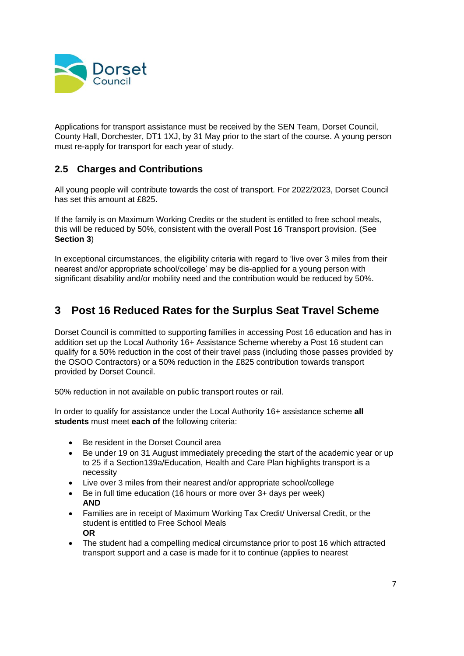

Applications for transport assistance must be received by the SEN Team, Dorset Council, County Hall, Dorchester, DT1 1XJ, by 31 May prior to the start of the course. A young person must re-apply for transport for each year of study.

## <span id="page-6-0"></span>**2.5 Charges and Contributions**

All young people will contribute towards the cost of transport. For 2022/2023, Dorset Council has set this amount at £825.

If the family is on Maximum Working Credits or the student is entitled to free school meals, this will be reduced by 50%, consistent with the overall Post 16 Transport provision. (See **Section 3**)

In exceptional circumstances, the eligibility criteria with regard to 'live over 3 miles from their nearest and/or appropriate school/college' may be dis-applied for a young person with significant disability and/or mobility need and the contribution would be reduced by 50%.

## <span id="page-6-1"></span>**3 Post 16 Reduced Rates for the Surplus Seat Travel Scheme**

Dorset Council is committed to supporting families in accessing Post 16 education and has in addition set up the Local Authority 16+ Assistance Scheme whereby a Post 16 student can qualify for a 50% reduction in the cost of their travel pass (including those passes provided by the OSOO Contractors) or a 50% reduction in the £825 contribution towards transport provided by Dorset Council.

50% reduction in not available on public transport routes or rail.

In order to qualify for assistance under the Local Authority 16+ assistance scheme **all students** must meet **each of** the following criteria:

- Be resident in the Dorset Council area
- Be under 19 on 31 August immediately preceding the start of the academic year or up to 25 if a Section139a/Education, Health and Care Plan highlights transport is a necessity
- Live over 3 miles from their nearest and/or appropriate school/college
- Be in full time education (16 hours or more over 3+ days per week) **AND**
- Families are in receipt of Maximum Working Tax Credit/ Universal Credit, or the student is entitled to Free School Meals **OR**
- The student had a compelling medical circumstance prior to post 16 which attracted transport support and a case is made for it to continue (applies to nearest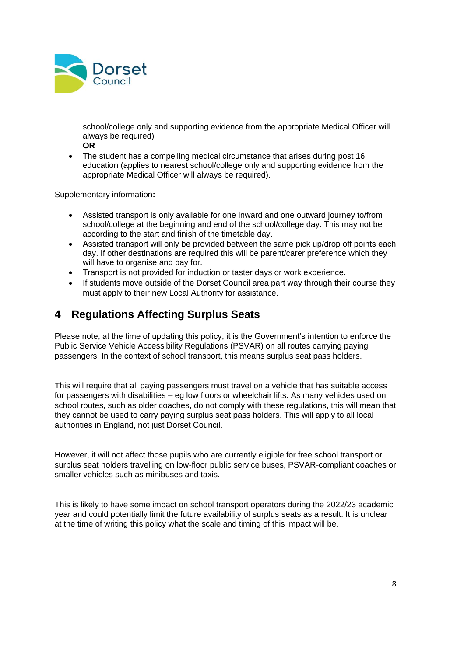

school/college only and supporting evidence from the appropriate Medical Officer will always be required)

- **OR**
- The student has a compelling medical circumstance that arises during post 16 education (applies to nearest school/college only and supporting evidence from the appropriate Medical Officer will always be required).

Supplementary information**:** 

- Assisted transport is only available for one inward and one outward journey to/from school/college at the beginning and end of the school/college day. This may not be according to the start and finish of the timetable day.
- Assisted transport will only be provided between the same pick up/drop off points each day. If other destinations are required this will be parent/carer preference which they will have to organise and pay for.
- Transport is not provided for induction or taster days or work experience.
- If students move outside of the Dorset Council area part way through their course they must apply to their new Local Authority for assistance.

## <span id="page-7-0"></span>**4 Regulations Affecting Surplus Seats**

Please note, at the time of updating this policy, it is the Government's intention to enforce the Public Service Vehicle Accessibility Regulations (PSVAR) on all routes carrying paying passengers. In the context of school transport, this means surplus seat pass holders.

This will require that all paying passengers must travel on a vehicle that has suitable access for passengers with disabilities – eg low floors or wheelchair lifts. As many vehicles used on school routes, such as older coaches, do not comply with these regulations, this will mean that they cannot be used to carry paying surplus seat pass holders. This will apply to all local authorities in England, not just Dorset Council.

However, it will not affect those pupils who are currently eligible for free school transport or surplus seat holders travelling on low-floor public service buses, PSVAR-compliant coaches or smaller vehicles such as minibuses and taxis.

This is likely to have some impact on school transport operators during the 2022/23 academic year and could potentially limit the future availability of surplus seats as a result. It is unclear at the time of writing this policy what the scale and timing of this impact will be.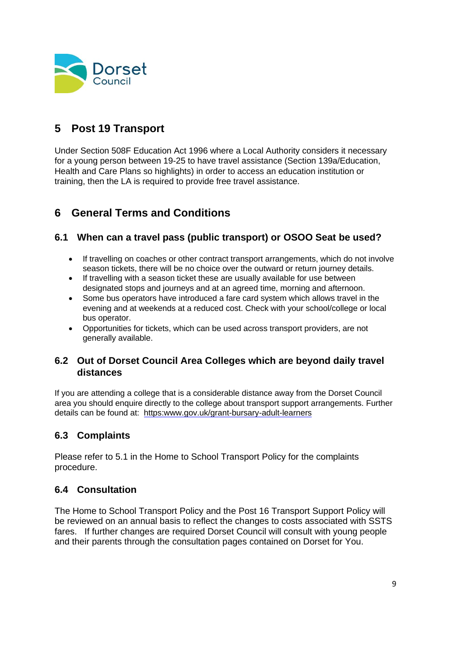

## <span id="page-8-0"></span>**5 Post 19 Transport**

Under Section 508F Education Act 1996 where a Local Authority considers it necessary for a young person between 19-25 to have travel assistance (Section 139a/Education, Health and Care Plans so highlights) in order to access an education institution or training, then the LA is required to provide free travel assistance.

## <span id="page-8-1"></span>**6 General Terms and Conditions**

## <span id="page-8-2"></span>**6.1 When can a travel pass (public transport) or OSOO Seat be used?**

- If travelling on coaches or other contract transport arrangements, which do not involve season tickets, there will be no choice over the outward or return journey details.
- If travelling with a season ticket these are usually available for use between designated stops and journeys and at an agreed time, morning and afternoon.
- Some bus operators have introduced a fare card system which allows travel in the evening and at weekends at a reduced cost. Check with your school/college or local bus operator.
- Opportunities for tickets, which can be used across transport providers, are not generally available.

#### <span id="page-8-3"></span>**6.2 Out of Dorset Council Area Colleges which are beyond daily travel distances**

If you are attending a college that is a considerable distance away from the Dorset Council area you should enquire directly to the college about transport support arrangements. Further details can be found at: https:www.gov.uk/grant-bursary-adult-learners

## <span id="page-8-4"></span>**6.3 Complaints**

Please refer to 5.1 in the Home to School Transport Policy for the complaints procedure.

### <span id="page-8-5"></span>**6.4 Consultation**

The Home to School Transport Policy and the Post 16 Transport Support Policy will be reviewed on an annual basis to reflect the changes to costs associated with SSTS fares. If further changes are required Dorset Council will consult with young people and their parents through the consultation pages contained on Dorset for You.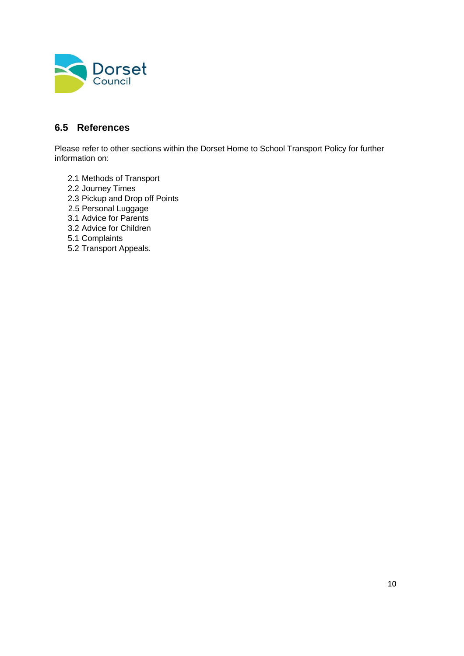

## <span id="page-9-0"></span>**6.5 References**

Please refer to other sections within the Dorset Home to School Transport Policy for further information on:

- 2.1 Methods of Transport
- 2.2 Journey Times
- 2.3 Pickup and Drop off Points
- 2.5 Personal Luggage
- 3.1 Advice for Parents
- 3.2 Advice for Children
- 5.1 Complaints
- 5.2 Transport Appeals.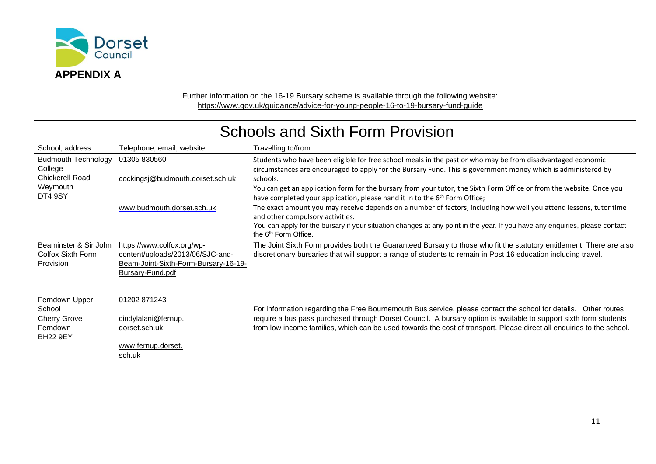

Further information on the 16-19 Bursary scheme is available through the following website: <https://www.gov.uk/guidance/advice-for-young-people-16-to-19-bursary-fund-guide>

<span id="page-10-0"></span>

| <b>Schools and Sixth Form Provision</b>                                                       |                                                                                                                            |                                                                                                                                                                                                                                                                                                                                                                                                                                                                                                                                                                                  |  |
|-----------------------------------------------------------------------------------------------|----------------------------------------------------------------------------------------------------------------------------|----------------------------------------------------------------------------------------------------------------------------------------------------------------------------------------------------------------------------------------------------------------------------------------------------------------------------------------------------------------------------------------------------------------------------------------------------------------------------------------------------------------------------------------------------------------------------------|--|
| School, address                                                                               | Telephone, email, website                                                                                                  | Travelling to/from                                                                                                                                                                                                                                                                                                                                                                                                                                                                                                                                                               |  |
| <b>Budmouth Technology</b><br>College<br><b>Chickerell Road</b><br>Weymouth<br><b>DT4 9SY</b> | 01305 830560<br>cockingsj@budmouth.dorset.sch.uk                                                                           | Students who have been eligible for free school meals in the past or who may be from disadvantaged economic<br>circumstances are encouraged to apply for the Bursary Fund. This is government money which is administered by<br>schools.<br>You can get an application form for the bursary from your tutor, the Sixth Form Office or from the website. Once you<br>have completed your application, please hand it in to the 6 <sup>th</sup> Form Office;<br>The exact amount you may receive depends on a number of factors, including how well you attend lessons, tutor time |  |
|                                                                                               | www.budmouth.dorset.sch.uk                                                                                                 | and other compulsory activities.<br>You can apply for the bursary if your situation changes at any point in the year. If you have any enquiries, please contact<br>the 6 <sup>th</sup> Form Office.                                                                                                                                                                                                                                                                                                                                                                              |  |
| Beaminster & Sir John<br>Colfox Sixth Form<br>Provision                                       | https://www.colfox.org/wp-<br>content/uploads/2013/06/SJC-and-<br>Beam-Joint-Sixth-Form-Bursary-16-19-<br>Bursary-Fund.pdf | The Joint Sixth Form provides both the Guaranteed Bursary to those who fit the statutory entitlement. There are also<br>discretionary bursaries that will support a range of students to remain in Post 16 education including travel.                                                                                                                                                                                                                                                                                                                                           |  |
| Ferndown Upper<br>School<br><b>Cherry Grove</b><br>Ferndown<br><b>BH22 9EY</b>                | 01202 871243<br>cindylalani@fernup.<br>dorset.sch.uk<br>www.fernup.dorset.<br>sch.uk                                       | For information regarding the Free Bournemouth Bus service, please contact the school for details.  Other routes<br>require a bus pass purchased through Dorset Council. A bursary option is available to support sixth form students<br>from low income families, which can be used towards the cost of transport. Please direct all enquiries to the school.                                                                                                                                                                                                                   |  |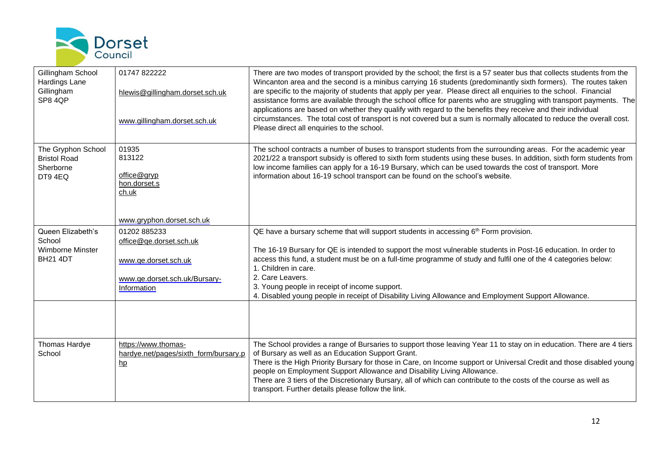

| Gillingham School<br>Hardings Lane<br>Gillingham<br>SP8 4QP      | 01747 822222<br>hlewis@gillingham.dorset.sch.uk<br>www.gillingham.dorset.sch.uk      | There are two modes of transport provided by the school; the first is a 57 seater bus that collects students from the<br>Wincanton area and the second is a minibus carrying 16 students (predominantly sixth formers). The routes taken<br>are specific to the majority of students that apply per year. Please direct all enquiries to the school. Financial<br>assistance forms are available through the school office for parents who are struggling with transport payments. The<br>applications are based on whether they qualify with regard to the benefits they receive and their individual<br>circumstances. The total cost of transport is not covered but a sum is normally allocated to reduce the overall cost.<br>Please direct all enquiries to the school. |
|------------------------------------------------------------------|--------------------------------------------------------------------------------------|-------------------------------------------------------------------------------------------------------------------------------------------------------------------------------------------------------------------------------------------------------------------------------------------------------------------------------------------------------------------------------------------------------------------------------------------------------------------------------------------------------------------------------------------------------------------------------------------------------------------------------------------------------------------------------------------------------------------------------------------------------------------------------|
| The Gryphon School<br><b>Bristol Road</b><br>Sherborne<br>DT94EQ | 01935<br>813122<br>office@gryp<br>hon.dorset.s<br>ch.uk<br>www.gryphon.dorset.sch.uk | The school contracts a number of buses to transport students from the surrounding areas. For the academic year<br>2021/22 a transport subsidy is offered to sixth form students using these buses. In addition, sixth form students from<br>low income families can apply for a 16-19 Bursary, which can be used towards the cost of transport. More<br>information about 16-19 school transport can be found on the school's website.                                                                                                                                                                                                                                                                                                                                        |
| Queen Elizabeth's<br>School<br>Wimborne Minster                  | 01202 885233<br>office@qe.dorset.sch.uk                                              | QE have a bursary scheme that will support students in accessing $6th$ Form provision.<br>The 16-19 Bursary for QE is intended to support the most vulnerable students in Post-16 education. In order to                                                                                                                                                                                                                                                                                                                                                                                                                                                                                                                                                                      |
| <b>BH21 4DT</b>                                                  | www.ge.dorset.sch.uk                                                                 | access this fund, a student must be on a full-time programme of study and fulfil one of the 4 categories below:<br>1. Children in care.<br>2. Care Leavers.                                                                                                                                                                                                                                                                                                                                                                                                                                                                                                                                                                                                                   |
|                                                                  | www.qe.dorset.sch.uk/Bursary-<br>Information                                         | 3. Young people in receipt of income support.<br>4. Disabled young people in receipt of Disability Living Allowance and Employment Support Allowance.                                                                                                                                                                                                                                                                                                                                                                                                                                                                                                                                                                                                                         |
|                                                                  |                                                                                      |                                                                                                                                                                                                                                                                                                                                                                                                                                                                                                                                                                                                                                                                                                                                                                               |
| Thomas Hardye<br>School                                          | https://www.thomas-<br>hardye.net/pages/sixth_form/bursary.p<br>h                    | The School provides a range of Bursaries to support those leaving Year 11 to stay on in education. There are 4 tiers<br>of Bursary as well as an Education Support Grant.<br>There is the High Priority Bursary for those in Care, on Income support or Universal Credit and those disabled young<br>people on Employment Support Allowance and Disability Living Allowance.<br>There are 3 tiers of the Discretionary Bursary, all of which can contribute to the costs of the course as well as<br>transport. Further details please follow the link.                                                                                                                                                                                                                       |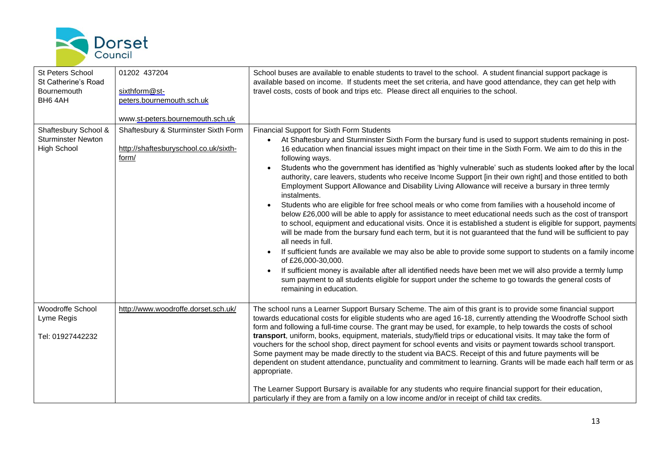

| <b>St Peters School</b><br>St Catherine's Road<br>Bournemouth<br>BH6 4AH | 01202 437204<br>sixthform@st-<br>peters.bournemouth.sch.uk<br>www.st-peters.bournemouth.sch.uk | School buses are available to enable students to travel to the school. A student financial support package is<br>available based on income. If students meet the set criteria, and have good attendance, they can get help with<br>travel costs, costs of book and trips etc. Please direct all enquiries to the school.                                                                                                                                                                                                                                                                                                                                                                                                                                                                                                                                                                                                                                                                                                                                                                                                                                                                                                                                                                                                                                                             |
|--------------------------------------------------------------------------|------------------------------------------------------------------------------------------------|--------------------------------------------------------------------------------------------------------------------------------------------------------------------------------------------------------------------------------------------------------------------------------------------------------------------------------------------------------------------------------------------------------------------------------------------------------------------------------------------------------------------------------------------------------------------------------------------------------------------------------------------------------------------------------------------------------------------------------------------------------------------------------------------------------------------------------------------------------------------------------------------------------------------------------------------------------------------------------------------------------------------------------------------------------------------------------------------------------------------------------------------------------------------------------------------------------------------------------------------------------------------------------------------------------------------------------------------------------------------------------------|
| Shaftesbury School &<br><b>Sturminster Newton</b><br><b>High School</b>  | Shaftesbury & Sturminster Sixth Form<br>http://shaftesburyschool.co.uk/sixth-<br>form/         | Financial Support for Sixth Form Students<br>At Shaftesbury and Sturminster Sixth Form the bursary fund is used to support students remaining in post-<br>16 education when financial issues might impact on their time in the Sixth Form. We aim to do this in the<br>following ways.<br>Students who the government has identified as 'highly vulnerable' such as students looked after by the local<br>authority, care leavers, students who receive Income Support [in their own right] and those entitled to both<br>Employment Support Allowance and Disability Living Allowance will receive a bursary in three termly<br>instalments.<br>Students who are eligible for free school meals or who come from families with a household income of<br>below £26,000 will be able to apply for assistance to meet educational needs such as the cost of transport<br>to school, equipment and educational visits. Once it is established a student is eligible for support, payments<br>will be made from the bursary fund each term, but it is not guaranteed that the fund will be sufficient to pay<br>all needs in full.<br>If sufficient funds are available we may also be able to provide some support to students on a family income<br>of £26,000-30,000.<br>If sufficient money is available after all identified needs have been met we will also provide a termly lump |
|                                                                          |                                                                                                | sum payment to all students eligible for support under the scheme to go towards the general costs of<br>remaining in education.                                                                                                                                                                                                                                                                                                                                                                                                                                                                                                                                                                                                                                                                                                                                                                                                                                                                                                                                                                                                                                                                                                                                                                                                                                                      |
| Woodroffe School<br>Lyme Regis<br>Tel: 01927442232                       | http://www.woodroffe.dorset.sch.uk/                                                            | The school runs a Learner Support Bursary Scheme. The aim of this grant is to provide some financial support<br>towards educational costs for eligible students who are aged 16-18, currently attending the Woodroffe School sixth<br>form and following a full-time course. The grant may be used, for example, to help towards the costs of school<br>transport, uniform, books, equipment, materials, study/field trips or educational visits. It may take the form of<br>vouchers for the school shop, direct payment for school events and visits or payment towards school transport.<br>Some payment may be made directly to the student via BACS. Receipt of this and future payments will be<br>dependent on student attendance, punctuality and commitment to learning. Grants will be made each half term or as<br>appropriate.                                                                                                                                                                                                                                                                                                                                                                                                                                                                                                                                           |
|                                                                          |                                                                                                | The Learner Support Bursary is available for any students who require financial support for their education,<br>particularly if they are from a family on a low income and/or in receipt of child tax credits.                                                                                                                                                                                                                                                                                                                                                                                                                                                                                                                                                                                                                                                                                                                                                                                                                                                                                                                                                                                                                                                                                                                                                                       |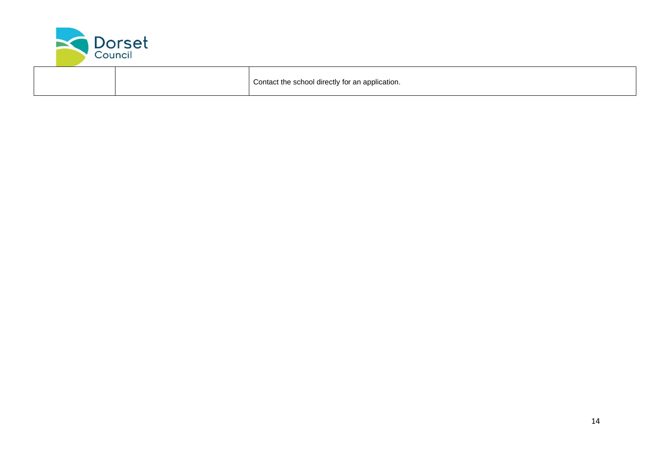

|  | Contact the school directly for an application. |
|--|-------------------------------------------------|
|--|-------------------------------------------------|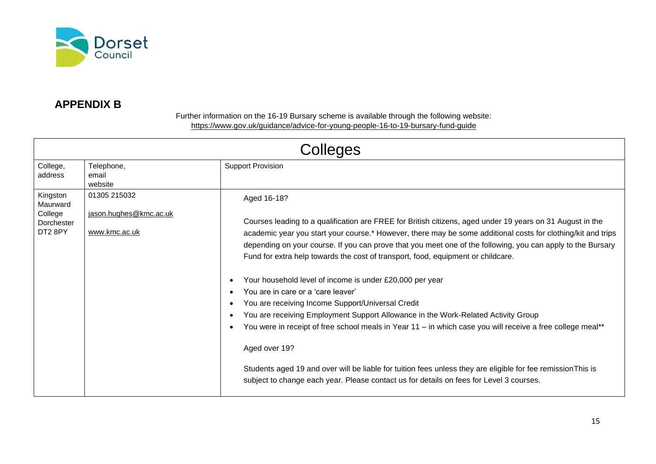

## **APPENDIX B**

Further information on the 16-19 Bursary scheme is available through the following website: <https://www.gov.uk/guidance/advice-for-young-people-16-to-19-bursary-fund-guide>

<span id="page-14-0"></span>

| Colleges                                                             |                                                         |                                                                                                                                                                                                                                                                                                                                                                                                                                                                                                                                                                                                                                                                                                                                                                                                                                                                                                                                                                                                                                   |  |
|----------------------------------------------------------------------|---------------------------------------------------------|-----------------------------------------------------------------------------------------------------------------------------------------------------------------------------------------------------------------------------------------------------------------------------------------------------------------------------------------------------------------------------------------------------------------------------------------------------------------------------------------------------------------------------------------------------------------------------------------------------------------------------------------------------------------------------------------------------------------------------------------------------------------------------------------------------------------------------------------------------------------------------------------------------------------------------------------------------------------------------------------------------------------------------------|--|
| College,<br>address                                                  | Telephone,<br>email<br>website                          | <b>Support Provision</b>                                                                                                                                                                                                                                                                                                                                                                                                                                                                                                                                                                                                                                                                                                                                                                                                                                                                                                                                                                                                          |  |
| Kingston<br>Maurward<br>College<br>Dorchester<br>DT <sub>2</sub> 8PY | 01305 215032<br>jason.hughes@kmc.ac.uk<br>www.kmc.ac.uk | Aged 16-18?<br>Courses leading to a qualification are FREE for British citizens, aged under 19 years on 31 August in the<br>academic year you start your course.* However, there may be some additional costs for clothing/kit and trips<br>depending on your course. If you can prove that you meet one of the following, you can apply to the Bursary<br>Fund for extra help towards the cost of transport, food, equipment or childcare.<br>Your household level of income is under £20,000 per year<br>You are in care or a 'care leaver'<br>You are receiving Income Support/Universal Credit<br>You are receiving Employment Support Allowance in the Work-Related Activity Group<br>You were in receipt of free school meals in Year 11 - in which case you will receive a free college meal**<br>Aged over 19?<br>Students aged 19 and over will be liable for tuition fees unless they are eligible for fee remission This is<br>subject to change each year. Please contact us for details on fees for Level 3 courses. |  |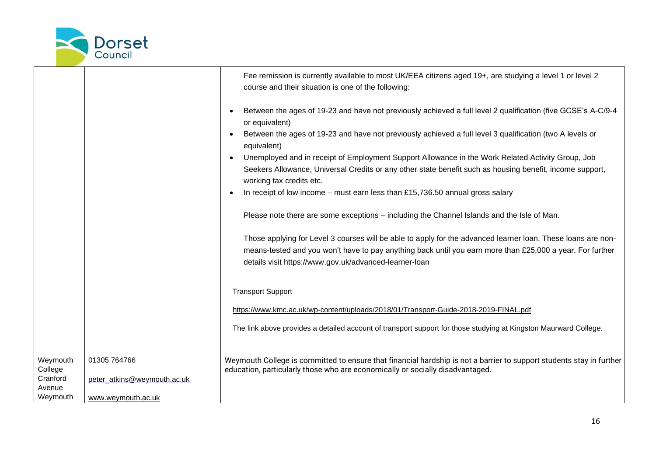

|                                                       |                                                                   | Fee remission is currently available to most UK/EEA citizens aged 19+, are studying a level 1 or level 2<br>course and their situation is one of the following:<br>Between the ages of 19-23 and have not previously achieved a full level 2 qualification (five GCSE's A-C/9-4<br>or equivalent)<br>Between the ages of 19-23 and have not previously achieved a full level 3 qualification (two A levels or<br>equivalent)<br>Unemployed and in receipt of Employment Support Allowance in the Work Related Activity Group, Job<br>Seekers Allowance, Universal Credits or any other state benefit such as housing benefit, income support,<br>working tax credits etc.<br>In receipt of low income - must earn less than £15,736.50 annual gross salary<br>Please note there are some exceptions - including the Channel Islands and the Isle of Man.<br>Those applying for Level 3 courses will be able to apply for the advanced learner loan. These loans are non-<br>means-tested and you won't have to pay anything back until you earn more than £25,000 a year. For further<br>details visit https://www.gov.uk/advanced-learner-loan<br><b>Transport Support</b><br>https://www.kmc.ac.uk/wp-content/uploads/2018/01/Transport-Guide-2018-2019-FINAL.pdf<br>The link above provides a detailed account of transport support for those studying at Kingston Maurward College. |
|-------------------------------------------------------|-------------------------------------------------------------------|-----------------------------------------------------------------------------------------------------------------------------------------------------------------------------------------------------------------------------------------------------------------------------------------------------------------------------------------------------------------------------------------------------------------------------------------------------------------------------------------------------------------------------------------------------------------------------------------------------------------------------------------------------------------------------------------------------------------------------------------------------------------------------------------------------------------------------------------------------------------------------------------------------------------------------------------------------------------------------------------------------------------------------------------------------------------------------------------------------------------------------------------------------------------------------------------------------------------------------------------------------------------------------------------------------------------------------------------------------------------------------------------|
| Weymouth<br>College<br>Cranford<br>Avenue<br>Weymouth | 01305 764766<br>peter_atkins@weymouth.ac.uk<br>www.weymouth.ac.uk | Weymouth College is committed to ensure that financial hardship is not a barrier to support students stay in further<br>education, particularly those who are economically or socially disadvantaged.                                                                                                                                                                                                                                                                                                                                                                                                                                                                                                                                                                                                                                                                                                                                                                                                                                                                                                                                                                                                                                                                                                                                                                                   |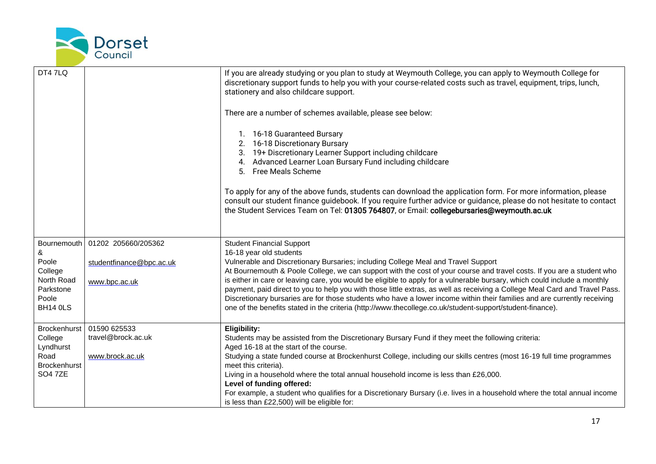

| DT47LQ                  |                          | If you are already studying or you plan to study at Weymouth College, you can apply to Weymouth College for<br>discretionary support funds to help you with your course-related costs such as travel, equipment, trips, lunch,<br>stationery and also childcare support.<br>There are a number of schemes available, please see below:<br>1. 16-18 Guaranteed Bursary<br>2. 16-18 Discretionary Bursary<br>3. 19+ Discretionary Learner Support including childcare<br>4. Advanced Learner Loan Bursary Fund including childcare<br>5. Free Meals Scheme<br>To apply for any of the above funds, students can download the application form. For more information, please<br>consult our student finance guidebook. If you require further advice or guidance, please do not hesitate to contact<br>the Student Services Team on Tel: 01305 764807, or Email: collegebursaries@weymouth.ac.uk |
|-------------------------|--------------------------|-----------------------------------------------------------------------------------------------------------------------------------------------------------------------------------------------------------------------------------------------------------------------------------------------------------------------------------------------------------------------------------------------------------------------------------------------------------------------------------------------------------------------------------------------------------------------------------------------------------------------------------------------------------------------------------------------------------------------------------------------------------------------------------------------------------------------------------------------------------------------------------------------|
| Bournemouth<br>&        | 01202 205660/205362      | <b>Student Financial Support</b><br>16-18 year old students                                                                                                                                                                                                                                                                                                                                                                                                                                                                                                                                                                                                                                                                                                                                                                                                                                   |
| Poole                   | studentfinance@bpc.ac.uk | Vulnerable and Discretionary Bursaries; including College Meal and Travel Support                                                                                                                                                                                                                                                                                                                                                                                                                                                                                                                                                                                                                                                                                                                                                                                                             |
| College                 |                          | At Bournemouth & Poole College, we can support with the cost of your course and travel costs. If you are a student who                                                                                                                                                                                                                                                                                                                                                                                                                                                                                                                                                                                                                                                                                                                                                                        |
| North Road<br>Parkstone | www.bpc.ac.uk            | is either in care or leaving care, you would be eligible to apply for a vulnerable bursary, which could include a monthly<br>payment, paid direct to you to help you with those little extras, as well as receiving a College Meal Card and Travel Pass.                                                                                                                                                                                                                                                                                                                                                                                                                                                                                                                                                                                                                                      |
| Poole                   |                          | Discretionary bursaries are for those students who have a lower income within their families and are currently receiving                                                                                                                                                                                                                                                                                                                                                                                                                                                                                                                                                                                                                                                                                                                                                                      |
| <b>BH14 0LS</b>         |                          | one of the benefits stated in the criteria (http://www.thecollege.co.uk/student-support/student-finance).                                                                                                                                                                                                                                                                                                                                                                                                                                                                                                                                                                                                                                                                                                                                                                                     |
| Brockenhurst            | 01590 625533             | Eligibility:                                                                                                                                                                                                                                                                                                                                                                                                                                                                                                                                                                                                                                                                                                                                                                                                                                                                                  |
| College<br>Lyndhurst    | travel@brock.ac.uk       | Students may be assisted from the Discretionary Bursary Fund if they meet the following criteria:<br>Aged 16-18 at the start of the course.                                                                                                                                                                                                                                                                                                                                                                                                                                                                                                                                                                                                                                                                                                                                                   |
| Road                    | www.brock.ac.uk          | Studying a state funded course at Brockenhurst College, including our skills centres (most 16-19 full time programmes                                                                                                                                                                                                                                                                                                                                                                                                                                                                                                                                                                                                                                                                                                                                                                         |
| <b>Brockenhurst</b>     |                          | meet this criteria).                                                                                                                                                                                                                                                                                                                                                                                                                                                                                                                                                                                                                                                                                                                                                                                                                                                                          |
| <b>SO4 7ZE</b>          |                          | Living in a household where the total annual household income is less than £26,000.                                                                                                                                                                                                                                                                                                                                                                                                                                                                                                                                                                                                                                                                                                                                                                                                           |
|                         |                          | Level of funding offered:<br>For example, a student who qualifies for a Discretionary Bursary (i.e. lives in a household where the total annual income                                                                                                                                                                                                                                                                                                                                                                                                                                                                                                                                                                                                                                                                                                                                        |
|                         |                          | is less than £22,500) will be eligible for:                                                                                                                                                                                                                                                                                                                                                                                                                                                                                                                                                                                                                                                                                                                                                                                                                                                   |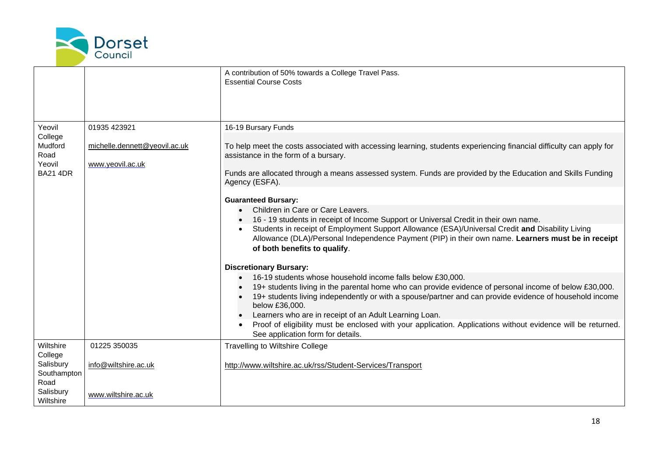

|                                                                                    |                                                                   | A contribution of 50% towards a College Travel Pass.<br><b>Essential Course Costs</b>                                                                                                                                                                                                                                                                                                                                                                                                                                                                                                                                                                                                                                                                                                                                                                                                                                                                  |
|------------------------------------------------------------------------------------|-------------------------------------------------------------------|--------------------------------------------------------------------------------------------------------------------------------------------------------------------------------------------------------------------------------------------------------------------------------------------------------------------------------------------------------------------------------------------------------------------------------------------------------------------------------------------------------------------------------------------------------------------------------------------------------------------------------------------------------------------------------------------------------------------------------------------------------------------------------------------------------------------------------------------------------------------------------------------------------------------------------------------------------|
| Yeovil<br>College<br>Mudford<br>Road<br>Yeovil<br><b>BA21 4DR</b>                  | 01935 423921<br>michelle.dennett@yeovil.ac.uk<br>www.yeovil.ac.uk | 16-19 Bursary Funds<br>To help meet the costs associated with accessing learning, students experiencing financial difficulty can apply for<br>assistance in the form of a bursary.<br>Funds are allocated through a means assessed system. Funds are provided by the Education and Skills Funding<br>Agency (ESFA).                                                                                                                                                                                                                                                                                                                                                                                                                                                                                                                                                                                                                                    |
|                                                                                    |                                                                   | <b>Guaranteed Bursary:</b><br>Children in Care or Care Leavers.<br>16 - 19 students in receipt of Income Support or Universal Credit in their own name.<br>Students in receipt of Employment Support Allowance (ESA)/Universal Credit and Disability Living<br>Allowance (DLA)/Personal Independence Payment (PIP) in their own name. Learners must be in receipt<br>of both benefits to qualify.<br><b>Discretionary Bursary:</b><br>16-19 students whose household income falls below £30,000.<br>19+ students living in the parental home who can provide evidence of personal income of below £30,000.<br>19+ students living independently or with a spouse/partner and can provide evidence of household income<br>below £36,000.<br>Learners who are in receipt of an Adult Learning Loan.<br>Proof of eligibility must be enclosed with your application. Applications without evidence will be returned.<br>See application form for details. |
| Wiltshire<br>College<br>Salisbury<br>Southampton<br>Road<br>Salisbury<br>Wiltshire | 01225 350035<br>info@wiltshire.ac.uk<br>www.wiltshire.ac.uk       | <b>Travelling to Wiltshire College</b><br>http://www.wiltshire.ac.uk/rss/Student-Services/Transport                                                                                                                                                                                                                                                                                                                                                                                                                                                                                                                                                                                                                                                                                                                                                                                                                                                    |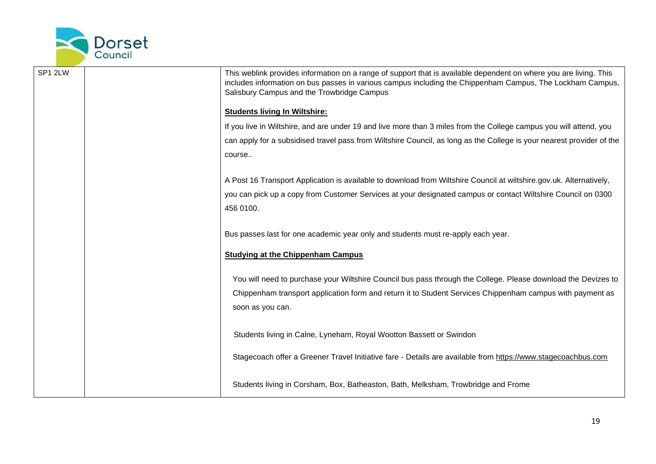

| SP1 2LW | This weblink provides information on a range of support that is available dependent on where you are living. This<br>includes information on bus passes in various campus including the Chippenham Campus, The Lockham Campus,<br>Salisbury Campus and the Trowbridge Campus |
|---------|------------------------------------------------------------------------------------------------------------------------------------------------------------------------------------------------------------------------------------------------------------------------------|
|         | <b>Students living In Wiltshire:</b>                                                                                                                                                                                                                                         |
|         | If you live in Wiltshire, and are under 19 and live more than 3 miles from the College campus you will attend, you                                                                                                                                                           |
|         | can apply for a subsidised travel pass from Wiltshire Council, as long as the College is your nearest provider of the                                                                                                                                                        |
|         | course                                                                                                                                                                                                                                                                       |
|         | A Post 16 Transport Application is available to download from Wiltshire Council at wiltshire.gov.uk. Alternatively,                                                                                                                                                          |
|         | you can pick up a copy from Customer Services at your designated campus or contact Wiltshire Council on 0300                                                                                                                                                                 |
|         | 456 0100.                                                                                                                                                                                                                                                                    |
|         |                                                                                                                                                                                                                                                                              |
|         | Bus passes last for one academic year only and students must re-apply each year.                                                                                                                                                                                             |
|         | <b>Studying at the Chippenham Campus</b>                                                                                                                                                                                                                                     |
|         | You will need to purchase your Wiltshire Council bus pass through the College. Please download the Devizes to                                                                                                                                                                |
|         | Chippenham transport application form and return it to Student Services Chippenham campus with payment as                                                                                                                                                                    |
|         | soon as you can.                                                                                                                                                                                                                                                             |
|         |                                                                                                                                                                                                                                                                              |
|         | Students living in Calne, Lyneham, Royal Wootton Bassett or Swindon                                                                                                                                                                                                          |
|         | Stagecoach offer a Greener Travel Initiative fare - Details are available from https://www.stagecoachbus.com                                                                                                                                                                 |
|         |                                                                                                                                                                                                                                                                              |
|         | Students living in Corsham, Box, Batheaston, Bath, Melksham, Trowbridge and Frome                                                                                                                                                                                            |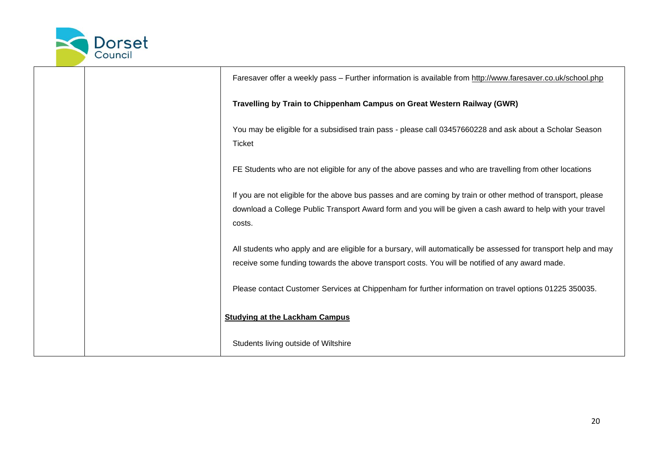

|  | Faresaver offer a weekly pass - Further information is available from http://www.faresaver.co.uk/school.php                                                                                                                           |
|--|---------------------------------------------------------------------------------------------------------------------------------------------------------------------------------------------------------------------------------------|
|  | Travelling by Train to Chippenham Campus on Great Western Railway (GWR)                                                                                                                                                               |
|  | You may be eligible for a subsidised train pass - please call 03457660228 and ask about a Scholar Season<br><b>Ticket</b>                                                                                                             |
|  | FE Students who are not eligible for any of the above passes and who are travelling from other locations                                                                                                                              |
|  | If you are not eligible for the above bus passes and are coming by train or other method of transport, please<br>download a College Public Transport Award form and you will be given a cash award to help with your travel<br>costs. |
|  | All students who apply and are eligible for a bursary, will automatically be assessed for transport help and may<br>receive some funding towards the above transport costs. You will be notified of any award made.                   |
|  | Please contact Customer Services at Chippenham for further information on travel options 01225 350035.                                                                                                                                |
|  | <b>Studying at the Lackham Campus</b>                                                                                                                                                                                                 |
|  | Students living outside of Wiltshire                                                                                                                                                                                                  |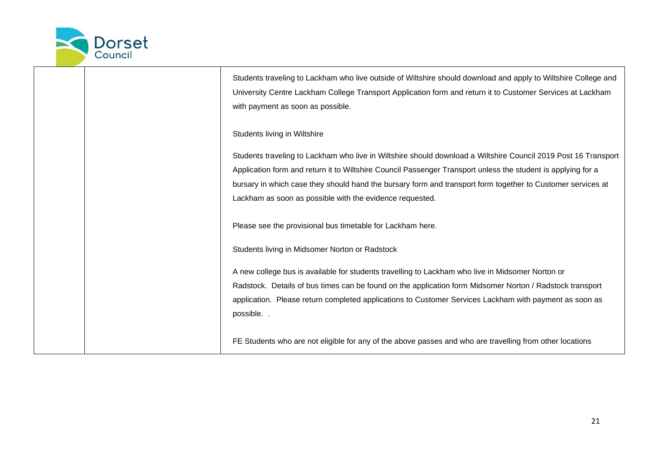

|  | Students traveling to Lackham who live outside of Wiltshire should download and apply to Wiltshire College and |
|--|----------------------------------------------------------------------------------------------------------------|
|  | University Centre Lackham College Transport Application form and return it to Customer Services at Lackham     |
|  | with payment as soon as possible.                                                                              |
|  | Students living in Wiltshire                                                                                   |
|  | Students traveling to Lackham who live in Wiltshire should download a Wiltshire Council 2019 Post 16 Transport |
|  | Application form and return it to Wiltshire Council Passenger Transport unless the student is applying for a   |
|  | bursary in which case they should hand the bursary form and transport form together to Customer services at    |
|  | Lackham as soon as possible with the evidence requested.                                                       |
|  |                                                                                                                |
|  | Please see the provisional bus timetable for Lackham here.                                                     |
|  | Students living in Midsomer Norton or Radstock                                                                 |
|  | A new college bus is available for students travelling to Lackham who live in Midsomer Norton or               |
|  | Radstock. Details of bus times can be found on the application form Midsomer Norton / Radstock transport       |
|  | application. Please return completed applications to Customer Services Lackham with payment as soon as         |
|  | possible                                                                                                       |
|  | FE Students who are not eligible for any of the above passes and who are travelling from other locations       |
|  |                                                                                                                |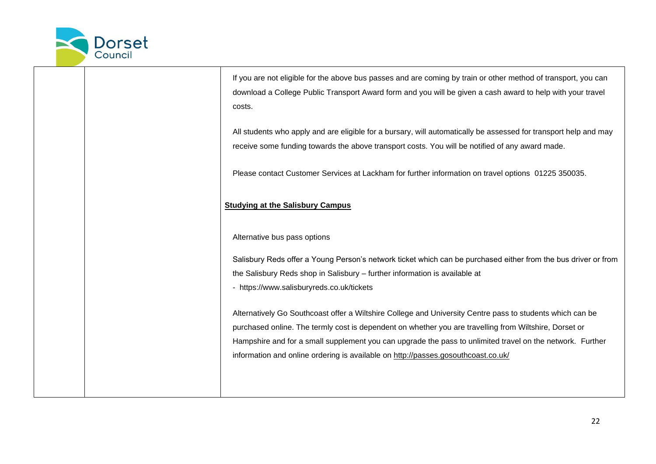

If you are not eligible for the above bus passes and are coming by train or other method of transport, you can download a College Public Transport Award form and you will be given a cash award to help with your travel costs.

All students who apply and are eligible for a bursary, will automatically be assessed for transport help and may receive some funding towards the above transport costs. You will be notified of any award made.

Please contact Customer Services at Lackham for further information on travel options 01225 350035.

#### **Studying at the Salisbury Campus**

Alternative bus pass options

Salisbury Reds offer a Young Person's network ticket which can be purchased either from the bus driver or from the Salisbury Reds shop in Salisbury – further information is available at

- <https://www.salisburyreds.co.uk/tickets>

Alternatively Go Southcoast offer a Wiltshire College and University Centre pass to students which can be purchased online. The termly cost is dependent on whether you are travelling from Wiltshire, Dorset or Hampshire and for a small supplement you can upgrade the pass to unlimited travel on the network. Further information and online ordering is available on<http://passes.gosouthcoast.co.uk/>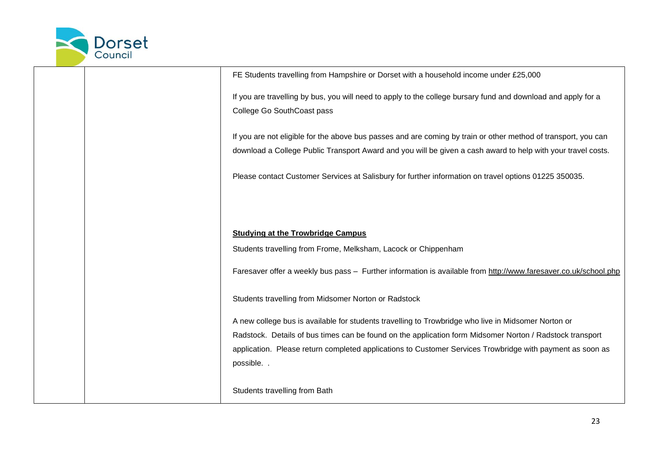

|  | FE Students travelling from Hampshire or Dorset with a household income under £25,000                           |
|--|-----------------------------------------------------------------------------------------------------------------|
|  | If you are travelling by bus, you will need to apply to the college bursary fund and download and apply for a   |
|  | College Go SouthCoast pass                                                                                      |
|  |                                                                                                                 |
|  | If you are not eligible for the above bus passes and are coming by train or other method of transport, you can  |
|  | download a College Public Transport Award and you will be given a cash award to help with your travel costs.    |
|  | Please contact Customer Services at Salisbury for further information on travel options 01225 350035.           |
|  |                                                                                                                 |
|  | <b>Studying at the Trowbridge Campus</b>                                                                        |
|  | Students travelling from Frome, Melksham, Lacock or Chippenham                                                  |
|  | Faresaver offer a weekly bus pass - Further information is available from http://www.faresaver.co.uk/school.php |
|  | Students travelling from Midsomer Norton or Radstock                                                            |
|  | A new college bus is available for students travelling to Trowbridge who live in Midsomer Norton or             |
|  | Radstock. Details of bus times can be found on the application form Midsomer Norton / Radstock transport        |
|  | application. Please return completed applications to Customer Services Trowbridge with payment as soon as       |
|  | possible. .                                                                                                     |
|  |                                                                                                                 |
|  | Students travelling from Bath                                                                                   |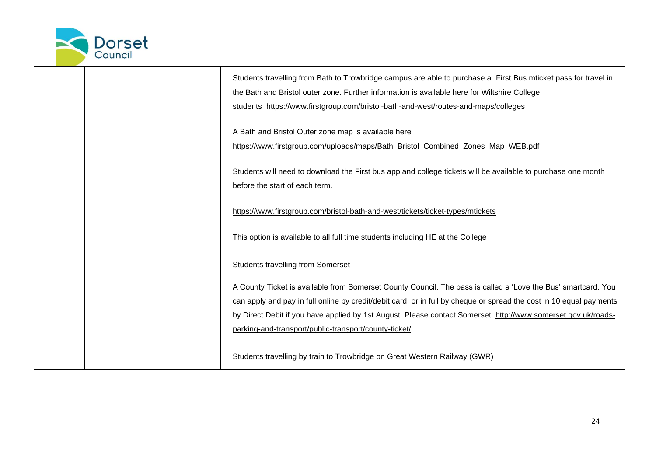

|  | Students travelling from Bath to Trowbridge campus are able to purchase a First Bus mticket pass for travel in<br>the Bath and Bristol outer zone. Further information is available here for Wiltshire College<br>students https://www.firstgroup.com/bristol-bath-and-west/routes-and-maps/colleges                                                                                                           |
|--|----------------------------------------------------------------------------------------------------------------------------------------------------------------------------------------------------------------------------------------------------------------------------------------------------------------------------------------------------------------------------------------------------------------|
|  | A Bath and Bristol Outer zone map is available here<br>https://www.firstgroup.com/uploads/maps/Bath_Bristol_Combined_Zones_Map_WEB.pdf                                                                                                                                                                                                                                                                         |
|  | Students will need to download the First bus app and college tickets will be available to purchase one month<br>before the start of each term.                                                                                                                                                                                                                                                                 |
|  | https://www.firstgroup.com/bristol-bath-and-west/tickets/ticket-types/mtickets                                                                                                                                                                                                                                                                                                                                 |
|  | This option is available to all full time students including HE at the College                                                                                                                                                                                                                                                                                                                                 |
|  | <b>Students travelling from Somerset</b>                                                                                                                                                                                                                                                                                                                                                                       |
|  | A County Ticket is available from Somerset County Council. The pass is called a 'Love the Bus' smartcard. You<br>can apply and pay in full online by credit/debit card, or in full by cheque or spread the cost in 10 equal payments<br>by Direct Debit if you have applied by 1st August. Please contact Somerset http://www.somerset.gov.uk/roads-<br>parking-and-transport/public-transport/county-ticket/. |
|  | Students travelling by train to Trowbridge on Great Western Railway (GWR)                                                                                                                                                                                                                                                                                                                                      |